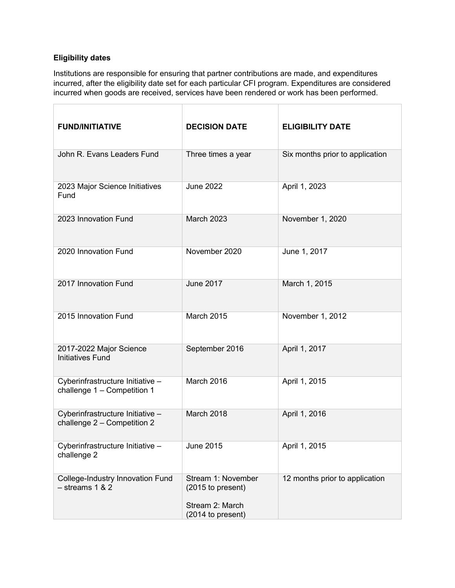## **Eligibility dates**

Institutions are responsible for ensuring that partner contributions are made, and expenditures incurred, after the eligibility date set for each particular CFI program. Expenditures are considered incurred when goods are received, services have been rendered or work has been performed.

| <b>FUND/INITIATIVE</b>                                          | <b>DECISION DATE</b>                                                            | <b>ELIGIBILITY DATE</b>         |
|-----------------------------------------------------------------|---------------------------------------------------------------------------------|---------------------------------|
| John R. Evans Leaders Fund                                      | Three times a year                                                              | Six months prior to application |
| 2023 Major Science Initiatives<br>Fund                          | <b>June 2022</b>                                                                | April 1, 2023                   |
| 2023 Innovation Fund                                            | March 2023                                                                      | November 1, 2020                |
| 2020 Innovation Fund                                            | November 2020                                                                   | June 1, 2017                    |
| 2017 Innovation Fund                                            | <b>June 2017</b>                                                                | March 1, 2015                   |
| 2015 Innovation Fund                                            | <b>March 2015</b>                                                               | November 1, 2012                |
| 2017-2022 Major Science<br><b>Initiatives Fund</b>              | September 2016                                                                  | April 1, 2017                   |
| Cyberinfrastructure Initiative -<br>challenge 1 - Competition 1 | March 2016                                                                      | April 1, 2015                   |
| Cyberinfrastructure Initiative -<br>challenge 2 - Competition 2 | March 2018                                                                      | April 1, 2016                   |
| Cyberinfrastructure Initiative -<br>challenge 2                 | <b>June 2015</b>                                                                | April 1, 2015                   |
| <b>College-Industry Innovation Fund</b><br>$-$ streams 1 & 2    | Stream 1: November<br>(2015 to present)<br>Stream 2: March<br>(2014 to present) | 12 months prior to application  |